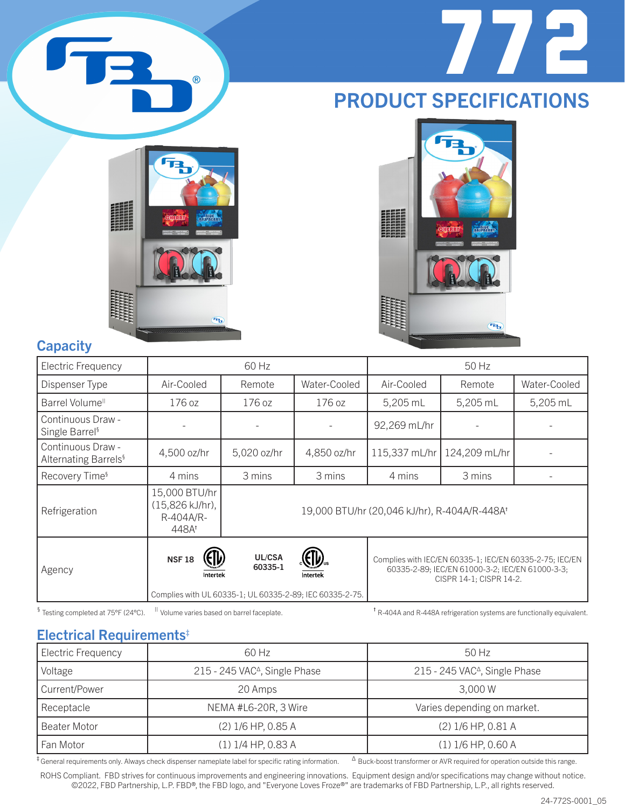

## PRODUCT SPECIFICATIONS



 $\circledR$ 



## **Capacity**

| Electric Frequency                                    |                                                                    | 60 Hz             |                                                                      |                                              | 50 Hz                                                                                                                                 |              |
|-------------------------------------------------------|--------------------------------------------------------------------|-------------------|----------------------------------------------------------------------|----------------------------------------------|---------------------------------------------------------------------------------------------------------------------------------------|--------------|
| Dispenser Type                                        | Air-Cooled                                                         | Remote            | Water-Cooled                                                         | Air-Cooled                                   | Remote                                                                                                                                | Water-Cooled |
| Barrel Volume <sup>ll</sup>                           | 176 oz                                                             | 176 oz            | 176 oz                                                               | 5,205 mL                                     | 5,205 mL                                                                                                                              | 5,205 mL     |
| Continuous Draw -<br>Single Barrel <sup>§</sup>       |                                                                    |                   |                                                                      | 92,269 mL/hr                                 |                                                                                                                                       |              |
| Continuous Draw -<br>Alternating Barrels <sup>§</sup> | 4,500 oz/hr                                                        | 5,020 oz/hr       | 4,850 oz/hr                                                          | 115,337 mL/hr                                | 124,209 mL/hr                                                                                                                         |              |
| Recovery Time <sup>§</sup>                            | 4 mins                                                             | 3 mins            | 3 mins                                                               | 4 mins                                       | 3 mins                                                                                                                                |              |
| Refrigeration                                         | 15,000 BTU/hr<br>(15,826 kJ/hr),<br>R-404A/R-<br>448A <sup>t</sup> |                   |                                                                      | 19,000 BTU/hr (20,046 kJ/hr), R-404A/R-448At |                                                                                                                                       |              |
| Agency                                                | <b>NSF18</b><br>Intertek                                           | UL/CSA<br>60335-1 | Intertek<br>Complies with UL 60335-1; UL 60335-2-89; IEC 60335-2-75. |                                              | Complies with IEC/EN 60335-1; IEC/EN 60335-2-75; IEC/EN<br>60335-2-89; IEC/EN 61000-3-2; IEC/EN 61000-3-3;<br>CISPR 14-1; CISPR 14-2. |              |

§ Testing completed at 75°F (24°C). <sup>II</sup> Volume varies based on barrel faceplate. the theorem of R-404A and R-448A refrigeration systems are functionally equivalent.

### Electrical Requirements‡

| <b>Electric Frequency</b> | 60 Hz                                     | $50$ Hz                                   |
|---------------------------|-------------------------------------------|-------------------------------------------|
| Voltage                   | 215 - 245 VAC <sup>Δ</sup> , Single Phase | 215 - 245 VAC <sup>Δ</sup> , Single Phase |
| Current/Power             | 20 Amps                                   | 3.000 W                                   |
| Receptacle                | NEMA #L6-20R, 3 Wire                      | Varies depending on market.               |
| <b>Beater Motor</b>       | (2) 1/6 HP, 0.85 A                        | (2) 1/6 HP, 0.81 A                        |
| Fan Motor                 | $(1)$ 1/4 HP, 0.83 A                      | $(1)$ 1/6 HP, 0.60 A                      |

 $^{\ddagger}$  General requirements only. Always check dispenser nameplate label for specific rating information.  $\phantom{0}^{\circ}$  Buck-boost transformer or AVR required for operation outside this range.

ROHS Compliant. FBD strives for continuous improvements and engineering innovations. Equipment design and/or specifications may change without notice. ©2022, FBD Partnership, L.P. FBD®, the FBD logo, and "Everyone Loves Froze®" are trademarks of FBD Partnership, L.P., all rights reserved.